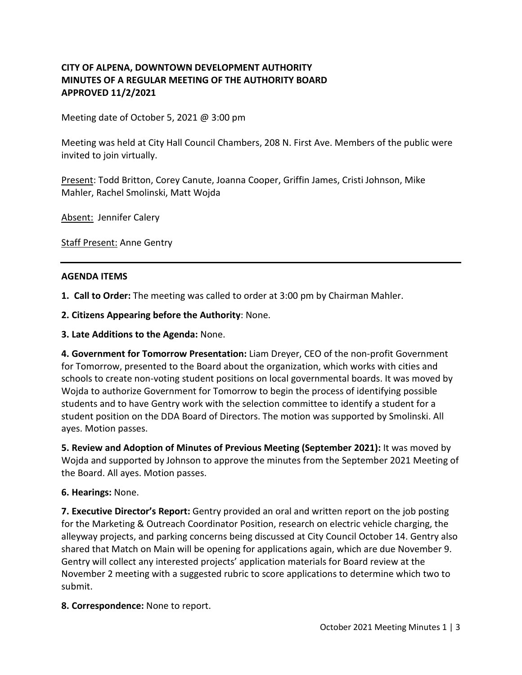## **CITY OF ALPENA, DOWNTOWN DEVELOPMENT AUTHORITY MINUTES OF A REGULAR MEETING OF THE AUTHORITY BOARD APPROVED 11/2/2021**

Meeting date of October 5, 2021 @ 3:00 pm

Meeting was held at City Hall Council Chambers, 208 N. First Ave. Members of the public were invited to join virtually.

Present: Todd Britton, Corey Canute, Joanna Cooper, Griffin James, Cristi Johnson, Mike Mahler, Rachel Smolinski, Matt Wojda

Absent: Jennifer Calery

**Staff Present: Anne Gentry** 

#### **AGENDA ITEMS**

**1. Call to Order:** The meeting was called to order at 3:00 pm by Chairman Mahler.

**2. Citizens Appearing before the Authority**: None.

**3. Late Additions to the Agenda:** None.

**4. Government for Tomorrow Presentation:** Liam Dreyer, CEO of the non-profit Government for Tomorrow, presented to the Board about the organization, which works with cities and schools to create non-voting student positions on local governmental boards. It was moved by Wojda to authorize Government for Tomorrow to begin the process of identifying possible students and to have Gentry work with the selection committee to identify a student for a student position on the DDA Board of Directors. The motion was supported by Smolinski. All ayes. Motion passes.

**5. Review and Adoption of Minutes of Previous Meeting (September 2021):** It was moved by Wojda and supported by Johnson to approve the minutes from the September 2021 Meeting of the Board. All ayes. Motion passes.

#### **6. Hearings:** None.

**7. Executive Director's Report:** Gentry provided an oral and written report on the job posting for the Marketing & Outreach Coordinator Position, research on electric vehicle charging, the alleyway projects, and parking concerns being discussed at City Council October 14. Gentry also shared that Match on Main will be opening for applications again, which are due November 9. Gentry will collect any interested projects' application materials for Board review at the November 2 meeting with a suggested rubric to score applications to determine which two to submit.

**8. Correspondence:** None to report.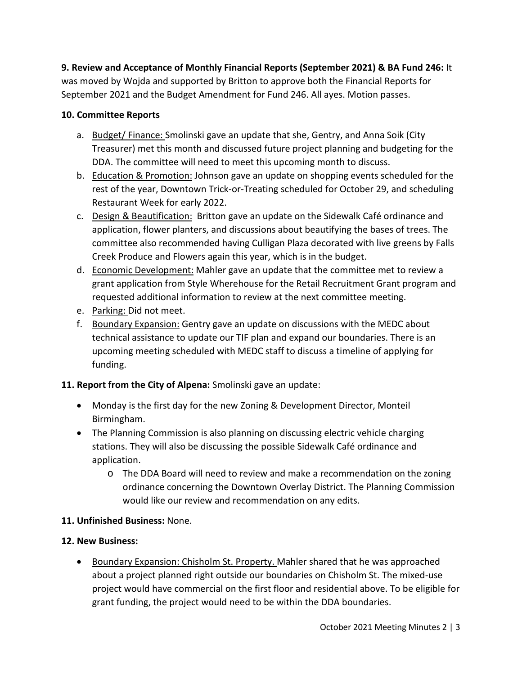**9. Review and Acceptance of Monthly Financial Reports (September 2021) & BA Fund 246:** It was moved by Wojda and supported by Britton to approve both the Financial Reports for September 2021 and the Budget Amendment for Fund 246. All ayes. Motion passes.

## **10. Committee Reports**

- a. Budget/ Finance: Smolinski gave an update that she, Gentry, and Anna Soik (City Treasurer) met this month and discussed future project planning and budgeting for the DDA. The committee will need to meet this upcoming month to discuss.
- b. Education & Promotion: Johnson gave an update on shopping events scheduled for the rest of the year, Downtown Trick-or-Treating scheduled for October 29, and scheduling Restaurant Week for early 2022.
- c. Design & Beautification: Britton gave an update on the Sidewalk Café ordinance and application, flower planters, and discussions about beautifying the bases of trees. The committee also recommended having Culligan Plaza decorated with live greens by Falls Creek Produce and Flowers again this year, which is in the budget.
- d. Economic Development: Mahler gave an update that the committee met to review a grant application from Style Wherehouse for the Retail Recruitment Grant program and requested additional information to review at the next committee meeting.
- e. Parking: Did not meet.
- f. Boundary Expansion: Gentry gave an update on discussions with the MEDC about technical assistance to update our TIF plan and expand our boundaries. There is an upcoming meeting scheduled with MEDC staff to discuss a timeline of applying for funding.

# **11. Report from the City of Alpena:** Smolinski gave an update:

- Monday is the first day for the new Zoning & Development Director, Monteil Birmingham.
- The Planning Commission is also planning on discussing electric vehicle charging stations. They will also be discussing the possible Sidewalk Café ordinance and application.
	- o The DDA Board will need to review and make a recommendation on the zoning ordinance concerning the Downtown Overlay District. The Planning Commission would like our review and recommendation on any edits.

### **11. Unfinished Business:** None.

### **12. New Business:**

• Boundary Expansion: Chisholm St. Property. Mahler shared that he was approached about a project planned right outside our boundaries on Chisholm St. The mixed-use project would have commercial on the first floor and residential above. To be eligible for grant funding, the project would need to be within the DDA boundaries.